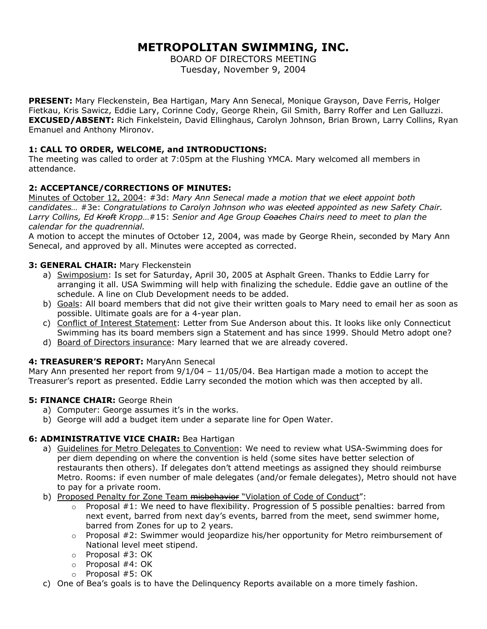# **METROPOLITAN SWIMMING, INC.**

BOARD OF DIRECTORS MEETING Tuesday, November 9, 2004

**PRESENT:** Mary Fleckenstein, Bea Hartigan, Mary Ann Senecal, Monique Grayson, Dave Ferris, Holger Fietkau, Kris Sawicz, Eddie Lary, Corinne Cody, George Rhein, Gil Smith, Barry Roffer and Len Galluzzi. **EXCUSED/ABSENT:** Rich Finkelstein, David Ellinghaus, Carolyn Johnson, Brian Brown, Larry Collins, Ryan Emanuel and Anthony Mironov.

### **1: CALL TO ORDER, WELCOME, and INTRODUCTIONS:**

The meeting was called to order at 7:05pm at the Flushing YMCA. Mary welcomed all members in attendance.

# **2: ACCEPTANCE/CORRECTIONS OF MINUTES:**

Minutes of October 12, 2004: #3d: *Mary Ann Senecal made a motion that we elect appoint both candidates…* #3e: *Congratulations to Carolyn Johnson who was elected appointed as new Safety Chair. Larry Collins, Ed Kroft Kropp*…#15: *Senior and Age Group Coaches Chairs need to meet to plan the calendar for the quadrennial.* 

A motion to accept the minutes of October 12, 2004, was made by George Rhein, seconded by Mary Ann Senecal, and approved by all. Minutes were accepted as corrected.

### **3: GENERAL CHAIR:** Mary Fleckenstein

- a) Swimposium: Is set for Saturday, April 30, 2005 at Asphalt Green. Thanks to Eddie Larry for arranging it all. USA Swimming will help with finalizing the schedule. Eddie gave an outline of the schedule. A line on Club Development needs to be added.
- b) Goals: All board members that did not give their written goals to Mary need to email her as soon as possible. Ultimate goals are for a 4-year plan.
- c) Conflict of Interest Statement: Letter from Sue Anderson about this. It looks like only Connecticut Swimming has its board members sign a Statement and has since 1999. Should Metro adopt one?
- d) Board of Directors insurance: Mary learned that we are already covered.

### **4: TREASURER'S REPORT:** MaryAnn Senecal

Mary Ann presented her report from 9/1/04 – 11/05/04. Bea Hartigan made a motion to accept the Treasurer's report as presented. Eddie Larry seconded the motion which was then accepted by all.

### **5: FINANCE CHAIR: George Rhein**

- a) Computer: George assumes it's in the works.
- b) George will add a budget item under a separate line for Open Water.

# **6: ADMINISTRATIVE VICE CHAIR:** Bea Hartigan

- a) Guidelines for Metro Delegates to Convention: We need to review what USA-Swimming does for per diem depending on where the convention is held (some sites have better selection of restaurants then others). If delegates don't attend meetings as assigned they should reimburse Metro. Rooms: if even number of male delegates (and/or female delegates), Metro should not have to pay for a private room.
- b) Proposed Penalty for Zone Team misbehavior "Violation of Code of Conduct":
	- $\circ$  Proposal #1: We need to have flexibility. Progression of 5 possible penalties: barred from next event, barred from next day's events, barred from the meet, send swimmer home, barred from Zones for up to 2 years.
	- $\circ$  Proposal #2: Swimmer would jeopardize his/her opportunity for Metro reimbursement of National level meet stipend.
	- o Proposal #3: OK
	- o Proposal #4: OK
	- o Proposal #5: OK
- c) One of Bea's goals is to have the Delinquency Reports available on a more timely fashion.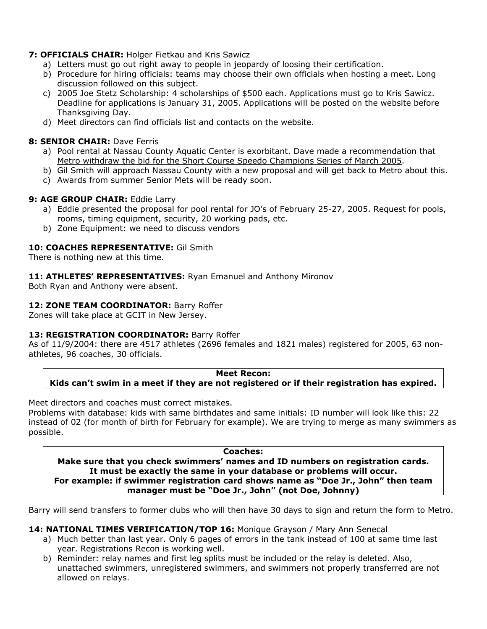# **7: OFFICIALS CHAIR:** Holger Fietkau and Kris Sawicz

- a) Letters must go out right away to people in jeopardy of loosing their certification.
- b) Procedure for hiring officials: teams may choose their own officials when hosting a meet. Long discussion followed on this subject.
- c) 2005 Joe Stetz Scholarship: 4 scholarships of \$500 each. Applications must go to Kris Sawicz. Deadline for applications is January 31, 2005. Applications will be posted on the website before Thanksgiving Day.
- d) Meet directors can find officials list and contacts on the website.

### **8: SENIOR CHAIR: Dave Ferris**

- a) Pool rental at Nassau County Aquatic Center is exorbitant. Dave made a recommendation that Metro withdraw the bid for the Short Course Speedo Champions Series of March 2005.
- b) Gil Smith will approach Nassau County with a new proposal and will get back to Metro about this.
- c) Awards from summer Senior Mets will be ready soon.

# **9: AGE GROUP CHAIR: Eddie Larry**

- a) Eddie presented the proposal for pool rental for JO's of February 25-27, 2005. Request for pools, rooms, timing equipment, security, 20 working pads, etc.
- b) Zone Equipment: we need to discuss vendors

### **10: COACHES REPRESENTATIVE:** Gil Smith

There is nothing new at this time.

**11: ATHLETES' REPRESENTATIVES:** Ryan Emanuel and Anthony Mironov

Both Ryan and Anthony were absent.

### 12: **ZONE TEAM COORDINATOR: Barry Roffer**

Zones will take place at GCIT in New Jersey.

# **13: REGISTRATION COORDINATOR:** Barry Roffer

As of 11/9/2004: there are 4517 athletes (2696 females and 1821 males) registered for 2005, 63 nonathletes, 96 coaches, 30 officials.

**Meet Recon: Kids can't swim in a meet if they are not registered or if their registration has expired.** 

Meet directors and coaches must correct mistakes.

Problems with database: kids with same birthdates and same initials: ID number will look like this: 22 instead of 02 (for month of birth for February for example). We are trying to merge as many swimmers as possible.

#### **Coaches:**

**Make sure that you check swimmers' names and ID numbers on registration cards. It must be exactly the same in your database or problems will occur. For example: if swimmer registration card shows name as "Doe Jr., John" then team manager must be "Doe Jr., John" (not Doe, Johnny)** 

Barry will send transfers to former clubs who will then have 30 days to sign and return the form to Metro.

# **14: NATIONAL TIMES VERIFICATION/TOP 16:** Monique Grayson / Mary Ann Senecal

- a) Much better than last year. Only 6 pages of errors in the tank instead of 100 at same time last year. Registrations Recon is working well.
- b) Reminder: relay names and first leg splits must be included or the relay is deleted. Also, unattached swimmers, unregistered swimmers, and swimmers not properly transferred are not allowed on relays.